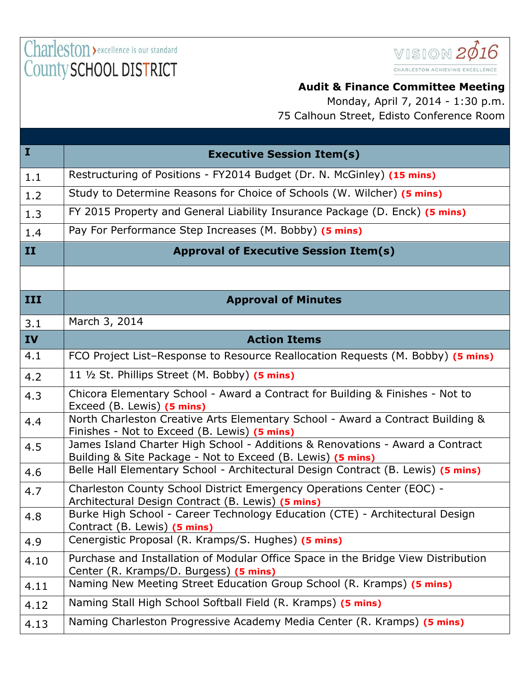Charleston > excellence is our standard County SCHOOL DISTRICT



## **Audit & Finance Committee Meeting**

Monday, April 7, 2014 - 1:30 p.m. 75 Calhoun Street, Edisto Conference Room

| $\bf{I}$  | <b>Executive Session Item(s)</b>                                                                                                             |  |
|-----------|----------------------------------------------------------------------------------------------------------------------------------------------|--|
| 1.1       | Restructuring of Positions - FY2014 Budget (Dr. N. McGinley) (15 mins)                                                                       |  |
| 1.2       | Study to Determine Reasons for Choice of Schools (W. Wilcher) (5 mins)                                                                       |  |
| 1.3       | FY 2015 Property and General Liability Insurance Package (D. Enck) (5 mins)                                                                  |  |
| 1.4       | Pay For Performance Step Increases (M. Bobby) (5 mins)                                                                                       |  |
| II        | <b>Approval of Executive Session Item(s)</b>                                                                                                 |  |
|           |                                                                                                                                              |  |
| III       | <b>Approval of Minutes</b>                                                                                                                   |  |
| 3.1       | March 3, 2014                                                                                                                                |  |
| <b>IV</b> | <b>Action Items</b>                                                                                                                          |  |
| 4.1       | FCO Project List-Response to Resource Reallocation Requests (M. Bobby) (5 mins)                                                              |  |
| 4.2       | 11 1/2 St. Phillips Street (M. Bobby) (5 mins)                                                                                               |  |
| 4.3       | Chicora Elementary School - Award a Contract for Building & Finishes - Not to<br>Exceed (B. Lewis) (5 mins)                                  |  |
| 4.4       | North Charleston Creative Arts Elementary School - Award a Contract Building &<br>Finishes - Not to Exceed (B. Lewis) (5 mins)               |  |
| 4.5       | James Island Charter High School - Additions & Renovations - Award a Contract<br>Building & Site Package - Not to Exceed (B. Lewis) (5 mins) |  |
| 4.6       | Belle Hall Elementary School - Architectural Design Contract (B. Lewis) (5 mins)                                                             |  |
| 4.7       | Charleston County School District Emergency Operations Center (EOC) -<br>Architectural Design Contract (B. Lewis) (5 mins)                   |  |
| 4.8       | Burke High School - Career Technology Education (CTE) - Architectural Design<br>Contract (B. Lewis) (5 mins)                                 |  |
| 4.9       | Cenergistic Proposal (R. Kramps/S. Hughes) (5 mins)                                                                                          |  |
| 4.10      | Purchase and Installation of Modular Office Space in the Bridge View Distribution<br>Center (R. Kramps/D. Burgess) (5 mins)                  |  |
| 4.11      | Naming New Meeting Street Education Group School (R. Kramps) (5 mins)                                                                        |  |
| 4.12      | Naming Stall High School Softball Field (R. Kramps) (5 mins)                                                                                 |  |
| 4.13      | Naming Charleston Progressive Academy Media Center (R. Kramps) (5 mins)                                                                      |  |